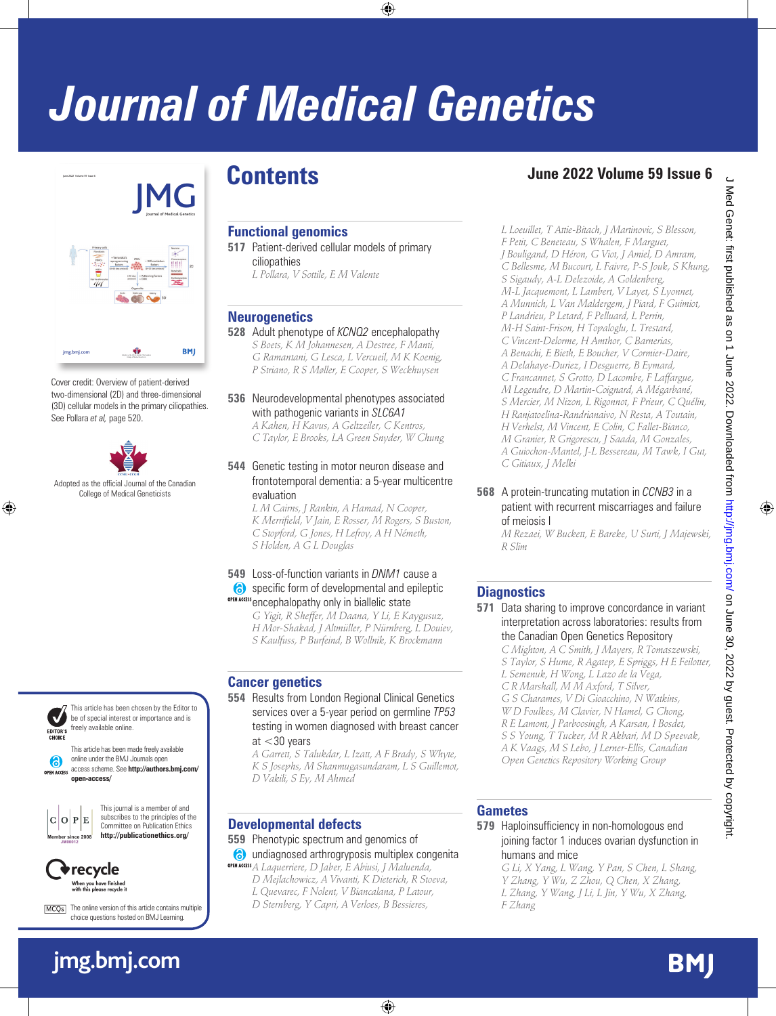# *Journal of Medical Genetics*



Cover credit: Overview of patient-derived two-dimensional (2D) and three-dimensional (3D) cellular models in the primary ciliopathies. See Pollara *et al,* page 520.



Adopted as the official Journal of the Canadian College of Medical Geneticists



This article has been chosen by the Editor to be of special interest or importance and is freely available online.

This article has been made freely available online under the BMJ Journals open a access scheme. See **http://authors.bmj.com/** OPEN ACCESS **open-access/**



This journal is a member of and

subscribes to the principles of the Committee on Publication Ethics **http://publicationethics.org/**



MCQs The online version of this article contains multiple choice questions hosted on BMJ Learning.

# **jmg.bmj.com**

# **Contents**

# **Functional genomics**

- **517** Patient-derived cellular models of primary ciliopathies
	- *L Pollara, V Sottile, E M Valente*

# **Neurogenetics**

**528** Adult phenotype of *KCNQ2* encephalopathy *S Boets, K M Johannesen, A Destree, F Manti, G Ramantani, G Lesca, L Vercueil, M K Koenig, P Striano, R S Møller, E Cooper, S Weckhuysen*

## **536** Neurodevelopmental phenotypes associated with pathogenic variants in *SLC6A1*

*A Kahen, H Kavus, A Geltzeiler, C Kentros, C Taylor, E Brooks, LA Green Snyder, W Chung*

#### **544** Genetic testing in motor neuron disease and frontotemporal dementia: a 5-year multicentre evaluation

*L M Cairns, J Rankin, A Hamad, N Cooper, K Merrifield, V Jain, E Rosser, M Rogers, S Buston, C Stopford, G Jones, H Lefroy, A H Németh, S Holden, A G L Douglas*

#### **549** Loss-of-function variants in *DNM1* cause a specific form of developmental and epileptic OPEN ACCESS encephalopathy only in biallelic state

*G Yigit, R Sheffer, M Daana, Y Li, E Kaygusuz, H Mor-Shakad, J Altmüller, P Nürnberg, L Douiev, S Kaulfuss, P Burfeind, B Wollnik, K Brockmann*

# **Cancer genetics**

**554** Results from London Regional Clinical Genetics services over a 5-year period on germline *TP53* testing in women diagnosed with breast cancer at <30 years

*A Garrett, S Talukdar, L Izatt, A F Brady, S Whyte, K S Josephs, M Shanmugasundaram, L S Guillemot, D Vakili, S Ey, M Ahmed*

# **Developmental defects**

**559** Phenotypic spectrum and genomics of undiagnosed arthrogryposis multiplex congenita

*A Laquerriere, D Jaber, E Abiusi, J Maluenda, D Mejlachowicz, A Vivanti, K Dieterich, R Stoeva, L Quevarec, F Nolent, V Biancalana, P Latour, D Sternberg, Y Capri, A Verloes, B Bessieres,* 

# **June 2022 Volume 59 Issue 6**

*L Loeuillet, T Attie-Bitach, J Martinovic, S Blesson, F Petit, C Beneteau, S Whalen, F Marguet, J Bouligand, D Héron, G Viot, J Amiel, D Amram, C Bellesme, M Bucourt, L Faivre, P-S Jouk, S Khung, S Sigaudy, A-L Delezoide, A Goldenberg, M-L Jacquemont, L Lambert, V Layet, S Lyonnet, A Munnich, L Van Maldergem, J Piard, F Guimiot, P Landrieu, P Letard, F Pelluard, L Perrin, M-H Saint-Frison, H Topaloglu, L Trestard, C Vincent-Delorme, H Amthor, C Barnerias, A Benachi, E Bieth, E Boucher, V Cormier-Daire, A Delahaye-Duriez, I Desguerre, B Eymard, C Francannet, S Grotto, D Lacombe, F Laffargue, M Legendre, D Martin-Coignard, A Mégarbané, S Mercier, M Nizon, L Rigonnot, F Prieur, C Quélin, H Ranjatoelina-Randrianaivo, N Resta, A Toutain, H Verhelst, M Vincent, E Colin, C Fallet-Bianco, M Granier, R Grigorescu, J Saada, M Gonzales, A Guiochon-Mantel, J-L Bessereau, M Tawk, I Gut, C Gitiaux, J Melki*

**568** A protein-truncating mutation in *CCNB3* in a patient with recurrent miscarriages and failure of meiosis I

*M Rezaei, W Buckett, E Bareke, U Surti, J Majewski, R Slim*

# **Diagnostics**

**571** Data sharing to improve concordance in variant interpretation across laboratories: results from the Canadian Open Genetics Repository

*C Mighton, A C Smith, J Mayers, R Tomaszewski, S Taylor, S Hume, R Agatep, E Spriggs, H E Feilotter, L Semenuk, H Wong, L Lazo de la Vega, C R Marshall, M M Axford, T Silver, G S Charames, V Di Gioacchino, N Watkins, W D Foulkes, M Clavier, N Hamel, G Chong, R E Lamont, J Parboosingh, A Karsan, I Bosdet, S S Young, T Tucker, M R Akbari, M D Speevak, A K Vaags, M S Lebo, J Lerner-Ellis, Canadian Open Genetics Repository Working Group*

#### **Gametes**

**579** Haploinsufficiency in non-homologous end joining factor 1 induces ovarian dysfunction in humans and mice

*G Li, X Yang, L Wang, Y Pan, S Chen, L Shang, Y Zhang, Y Wu, Z Zhou, Q Chen, X Zhang, L Zhang, Y Wang, J Li, L Jin, Y Wu, X Zhang, F Zhang*

**BMJ**